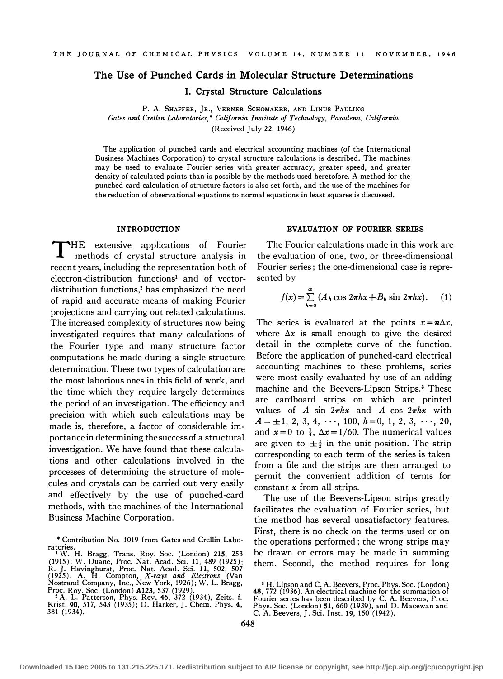# The Use of Punched Cards in Molecular Structure Determinations

I. Crystal Structure Calculations

P. A. SHAFFER, JR., VERNER SCHOMAKER, AND LINUS PAULING Gates and Crellin Laboratories,\* California Institute of Technology, Pasadena, California (Received July 22, 1946)

The application of punched cards and electrical accounting machines (of the International Business Machines Corporation) to crystal structure calculations is described. The machines may be used to evaluate Fourier series with greater accuracy, greater speed, and greater density of calculated points than is possible by the methods used heretofore. A method for the punched-card calculation of structure factors is also set forth, and the use of the machines for the reduction of observational equations to normal equations in least squares is discussed.

### INTRODUCTION

THE extensive applications of Fourier<br>methods of crystal structure analysis in recent years, including the representation both of electron-distribution functions<sup>1</sup> and of vectordistribution functions,<sup>2</sup> has emphasized the need of rapid and accurate means of making Fourier projections and carrying out related calculations. The increased complexity of structures now being investigated requires that many calculations of the Fourier type and many structure factor computations be made during a single structure determination. These two types of calculation are the most laborious ones in this field of work, and the time which they require largely determines the period of an investigation. The efficiency and precision with which such calculations may be made is, therefore, a factor of considerable importance in determining the success of a structural investigation. We have found that these calculations and other calculations involved in the processes of determining the structure of molecules and crystals can be carried out very easily and effectively by the use of punched-card methods, with the machines of the International Business Machine Corporation.

381 (1934).

#### EVALUATION OF FOURIER SERIES

The Fourier calculations made in this work are the evaluation of one, two, or three-dimensional Fourier series; the one-dimensional case is represented by

$$
f(x) = \sum_{h=0}^{\infty} (A_h \cos 2\pi hx + B_h \sin 2\pi hx). \quad (1)
$$

The series is evaluated at the points  $x = n\Delta x$ , where  $\Delta x$  is small enough to give the desired detail in the complete curve of the function. Before the application of punched-card electrical accounting machines to these problems, series were most easily evaluated by use of an adding machine and the Beevers-Lipson Strips.<sup>3</sup> These are cardboard strips on which are printed values of A sin  $2\pi hx$  and A cos  $2\pi hx$  with  $A=\pm 1, 2, 3, 4, \cdots, 100, h=0, 1, 2, 3, \cdots, 20,$ and  $x=0$  to  $\frac{1}{4}$ ,  $\Delta x = 1/60$ . The numerical values are given to  $\pm \frac{1}{2}$  in the unit position. The strip corresponding to each term of the series is taken from a file and the strips are then arranged to permit the convenient addition of terms for constant x from all strips.

The use of the Beevers-Lipson strips greatly facilitates the evaluation of Fourier series, but the method has several unsatisfactory features. First, there is no check on the terms used or on the operations performed ; the wrong strips may be drawn or errors may be made in summing them. Second, the method requires for long

<sup>\*</sup>Contribution No. 1019 f rom Gates and Crellin Labo-

ratories. <sup>1</sup>W. H. Bragg, Trans. Roy. Soc. (London) 215, 253 (1915); W. Duane, Proc. Nat. Acad. Sci. 11, 489 (1925); R. J. Havinghurst, Proc. Nat. Acad. Sci. 11, 502, 507 (1925); A. H. Compton, *X-rays and Electrons* (Van Nostrand Company, Inc., New York, 1926); W. L. Bragg, Proc. Roy. Soc. (London) **A123**, 537 (1929). <sup>2</sup>A. L. Patterson

<sup>&</sup>lt;sup>3</sup> H. Lipson and C. A. Beevers, Proc. Phys. Soc. (London) 48, 772 (1936). An electrical machine for the summation of Fourier series has been described by C. A. Beevers, Proc. Phys. Soc. (London) 51, 660 (1939), and D. Macewan and C. A. Beevers, J. Sci. lnst. 19, 150 (1942).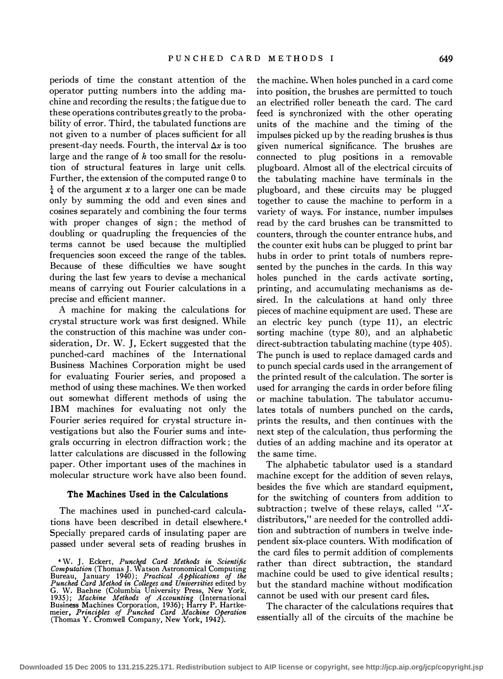periods of time the constant attention of the operator putting numbers into the adding machine and recording the results; the fatigue due to these operations contributes greatly to the probability of error. Third, the tabulated functions are not given to a number of places sufficient for all present-day needs. Fourth, the interval  $\Delta x$  is too large and the range of  $h$  too small for the resolution of structural features in large unit cells. Further, the extension of the computed range 0 to  $\frac{1}{4}$  of the argument x to a larger one can be made only by summing the odd and even sines and cosines separately and combining the four terms with proper changes of sign; the method of doubling or quadrupling the frequencies of the terms cannot be used because the multiplied frequencies soon exceed the range of the tables. Because of these difficulties we have sought during the last few years to devise a mechanical means of carrying out Fourier calculations in a precise and efficient manner.

A machine for making the calculations for crystal structure work was first designed. While the construction of this machine was under consideration, Dr. W. J, Eckert suggested that the punched-card machines of the International Business Machines Corporation might be used for evaluating Fourier series, and proposed a method of using these machines. We then worked out somewhat different methods of using the IBM machines for evaluating not only the Fourier series required for crystal structure investigations but also the Fourier sums and integrals occurring in electron diffraction work ; the latter calculations are discussed in the following paper. Other important uses of the machines in molecular structure work have also been found.

## The Machines Used in the Calculations

The machines used in punched-card calculations have been described in detail elsewhere. 4 Specially prepared cards of insulating paper are passed under several sets of reading brushes in the machine. When holes punched in a card come into position, the brushes are permitted to touch an electrified roller beneath the card. The card feed is synchronized with the other operating units of the machine and the timing of the impulses picked up by the reading brushes is thus <sup>g</sup>iven numerical significance. The brushes are connected to plug positions in a removable plugboard. Almost all of the electrical circuits of the tabulating machine have terminals in the plugboard, and these circuits may be plugged together to cause the machine to perform in a variety of ways. For instance, number impulses read by the card brushes can be transmitted to counters, through the counter entrance hubs, and the counter exit hubs can be plugged to print bar hubs in order to print totals of numbers represented by the punches in the cards. In this way holes punched in the cards activate sorting, printing, and accumulating mechanisms as desired. In the calculations at hand only three pieces of machine equipment are used. These are an electric key punch (type 11), an electric sorting machine (type 80), and an alphabetic direct-subtraction tabulating machine (type 405). The punch is used to replace damaged cards and to punch special cards used in the arrangement of the printed result of the calculation. The sorter is used for arranging the cards in order before filing or machine tabulation. The tabulator accumulates totals of numbers punched on the cards, prints the results, and then continues with the next step of the calculation, thus performing the duties of an adding machine and its operator at the same time.

The alphabetic tabulator used is a standard machine except for the addition of seven relays, besides the five which are standard equipment, for the switching of counters from addition to subtraction; twelve of these relays, called " $X$ distributors," are needed for the controlled addition and subtraction of numbers in twelve independent six-place counters. With modification of the card files to permit addition of complements rather than direct subtraction, the standard machine could be used to give identical results; but the standard machine without modification cannot be used with our present card files.

The character of the calculations requires that essentially all of the circuits of the machine be

<sup>&</sup>lt;sup>4</sup> W. J. Eckert, Punched Card Methods in Scientific Computation (Thomas J. Watson Astronomical Computing Bureau, January 1940); Practical Applications of the Punched Card Method in Colleges and Universities edited by G. W. Baehne (Columbia University Press, New York,<br>1935); *Machine Methods of Accounting* (International<br>Busin**ess M**achines Corporation, 1936); Harry P. Hartkemeier, *Principles of Punched Card Machine Operation*<br>(Thomas Y. Cromwell Company, New York, 1942).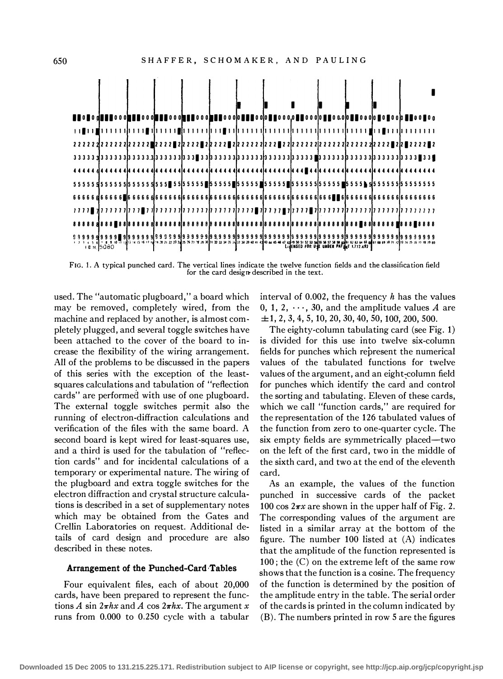

FIG. 1. A typical punched card. The vertical lines indicate the twelve function fields and the classification field for the card design described in the text.

used. The "automatic plugboard," a board which may be removed, completely wired, from the machine and replaced by another, is almost completely plugged, and several toggle switches have been attached to the cover of the board to increase the flexibility of the wiring arrangement. All of the problems to be discussed in the papers of this series with the exception of the leastsquares calculations and tabulation of "reflection cards" are performed with use of one plugboard. The external toggle switches permit also the running of electron-diffraction calculations and verification of the files with the same board. A second board is kept wired for least-squares use, and a third is used for the tabulation of "reflection cards" and for incidental calculations of a temporary or experimental nature. The wiring of the plugboard and extra toggle switches for the electron diffraction and crystal structure calculations is described in a set of supplementary notes which may be obtained from the Gates and Crellin Laboratories on request. Additional details of card design and procedure are also described in these notes.

### Arrangement of the Punched-Card Tables

Four equivalent files, each of about 20,000 cards, have been prepared to represent the functions A sin  $2\pi hx$  and A cos  $2\pi hx$ . The argument x runs from 0.000 to 0.250 cycle with a tabular

interval of 0.002, the frequency  $h$  has the values 0, 1, 2,  $\cdots$ , 30, and the amplitude values A are  $\pm$ 1, 2, 3, 4, 5, 10, 20, 30, 40, 50, 100, 200, 500.

The eighty-column tabulating card (see Fig. 1) is divided for this use into twelve six-column fields for punches which represent the numerical values of the tabulated functions for twelve values of the argument, and an eight-column field for punches which identify the card and control the sorting and tabulating. Eleven of these cards, which we call "function cards," are required for the representation of the 126 tabulated values of the function from zero to one-quarter cycle. The six empty fields are symmetrically placed—two on the left of the first card, two in the middle of the sixth card, and two at the end of the eleventh card.

As an example, the values of the function punched in successive cards of the packet 100 cos  $2\pi x$  are shown in the upper half of Fig. 2. The corresponding values of the argument are listed in a similar array at the bottom of the figure. The number 100 listed at (A) indicates that the amplitude of the function represented is 100; the (C) on the extreme left of the same row shows that the function is a cosine. The frequency of the function is determined by the position of the amplitude entry in the table. The serial order of the cards is printed in the column indicated by (B). The numbers printed in row 5 are the figures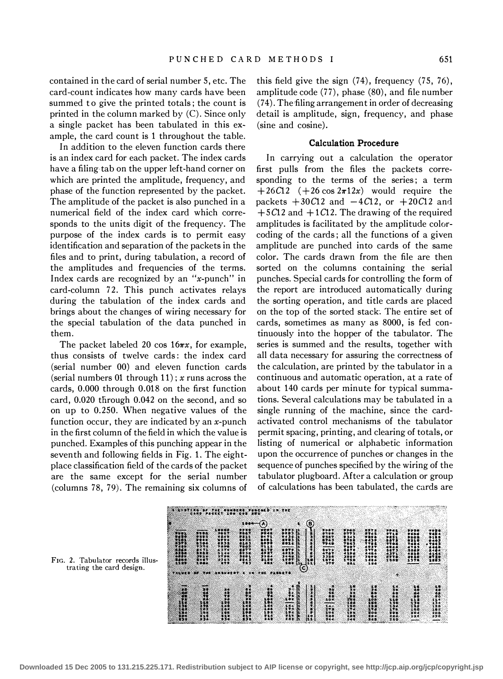contained in the card of serial number 5, etc. The card-count indicates how many cards have been summed to give the printed totals; the count is printed in the column marked by  $(C)$ . Since only a single packet has been tabulated in this example, the card count is 1 throughout the table.

In addition to the eleven function cards there is an index card for each packet. The index cards have a filing· tab on the upper left-hand corner on which are printed the amplitude, frequency, and phase of the function represented by the packet. The amplitude of the packet is also punched in a numerical field of the index card which corresponds to the units digit of the frequency. The purpose of the index cards is to permit easy identification and separation of the packets in the files and to print, during tabulation, a record of the amplitudes and frequencies of the terms. Index cards are recognized by an "x-punch" in card-column 72. This punch activates relays during the tabulation of the index cards and brings about the changes of wiring necessary for the special tabulation of the data punched in them.

The packet labeled 20 cos  $16\pi x$ , for example, thus consists of twelve cards: the index card ( serial number 00) and eleven function cards (serial numbers 01 through 11); x runs across the cards, 0.000 through 0.018 on the first function card, 0.020 tfirough 0.042 on the second, and so on up to 0.250. When negative values of the function occur, they are indicated by an  $x$ -punch in the first column of the field in which the value is punched. Examples of this punching appear in the seventh and following fields in Fig. 1. The eightplace classification field of the cards of the packet are the same except for the serial number ( columns 78, 79). The remaining six columns of this field give the sign (74), frequency (75, 76), amplitude code (77), phase (80), and file number  $(74)$ . The filing arrangement in order of decreasing detail is amplitude, sign, frequency, and phase (sine and cosine).

### Calculation Procedure

In carrying out a calculation the operator first pulls from the files the packets corresponding to the terms of the series; a term  $+26C12$  ( $+26 \cos 2\pi 12x$ ) would require the packets  $+30C12$  and  $-4C12$ , or  $+20C12$  and  $+5C12$  and  $+1C12$ . The drawing of the required amplitudes is facilitated by the amplitude colorcoding of the cards; all the functions of a given amplitude are punched into cards of the same color. The cards drawn from the file are then sorted on the columns containing the serial punches. Special cards for controlling the form of the report are introduced automatically during the sorting operation, and title cards are placed on the top of the sorted stack. The en tire set of cards, sometimes as many as 8000, is fed continuously into the hopper of the tabulator. The series is summed and the results, together with all data necessary for assuring the correctness of the calculation, are printed by the tabulator in a continuous and automatic operation, at a rate of about 140 cards per minute for typical summations. Several calculations may be tabulated in a single running of the machine, since the cardactivated control mechanisms of the tabulator permit spacing, printing, and clearing of totals, or listing of numerical or alphabetic information upon the occurrence of punches or changes in the sequence of punches specified by the wiring of the tabulator plugboard. After a calculation or group of calculations has been tabulated, the cards are



FIG. 2. Tabulator records illus· trating the card design.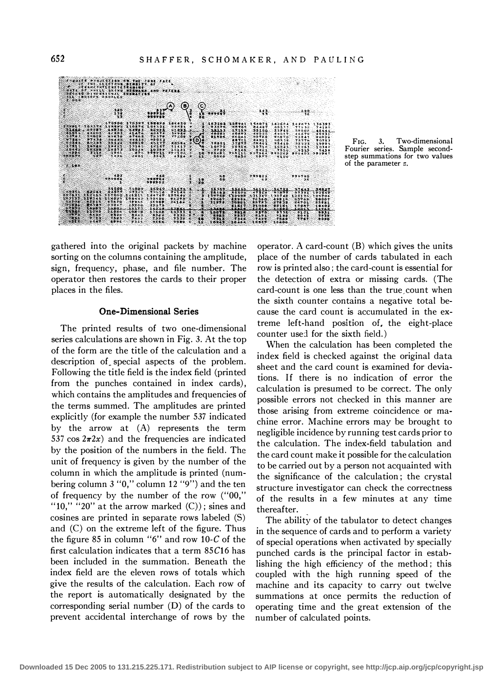

FIG. 3. Two-dimensional Fourier series. Sample secondstep summations for two values of the parameter z.

gathered into the original packets by machine sorting on the columns containing the amplitude, sign, frequency, phase, and file number. The operator then restores the cards to their proper places in the files.

## One-Dimensional Series

The printed results of two one-dimensional series calculations are shown in Fig. 3. At the top of the form are the title of the calculation and a description of\_ special aspects of the problem. Following the title field is the index field (printed from the punches contained in index cards), which contains the amplitudes and frequencies of the terms summed. The amplitudes are printed explicitly (for example the number 537 indicated by the arrow at (A) represents the term 537 cos  $2\pi 2x$ ) and the frequencies are indicated by the position of the numbers in the field. The unit of frequency is given by the number of the column in which the amplitude is printed (numbering column 3 "0," column 12 "9") and the ten of frequency by the number of the row ("00," "10," "20" at the arrow marked  $(C)$ ; sines and cosines are printed in separate rows labeled (S) and (C) on the extreme left of the figure. Thus the figure 85 in column "6" and row  $10\text{-}C$  of the first calculation indicates that a term 85C16 has been included in the summation. Beneath the index field are the eleven rows of totals which give the results of the calculation. Each row of the report is automatically designated by the corresponding serial number (D) of the cards to prevent accidental interchange of rows by the

operator. A card-count (B) which gives the units place of the number of cards tabulated in each row is printed also; the card-count is essential for the detection of extra or missing cards. (The card-count is one less than the true,count when the sixth counter contains a negative total because the card count is accumulated in the extreme left-hand position of, the eight-place counter used for the sixth field.)

When the calculation has been completed the index field is checked against the original data sheet and the card count is examined for deviations. If there is no indication of error the calculation is presumed to be correct. The only possible errors not checked in this manner are those arising from extreme coincidence or machine error. Machine errors may be brought to negligible incidence by running test cards prior to the calculation. The index-field tabulation and the card count make it possible for the calculation to be carried out by a person not acquainted with the significance of the calculation; the crystal structure investigator can check the correctness of the results in a few minutes at any time thereafter.

The ability of the tabulator to detect changes in the sequence of cards and to perform a variety of special operations when activated by specially punched cards is the principal factor in establishing the high efficiency of the method ; this coupled with the high running speed of the machine and its capacity to carry out twelve summations at once permits the reduction of operating time and the great extension of the number of calculated points.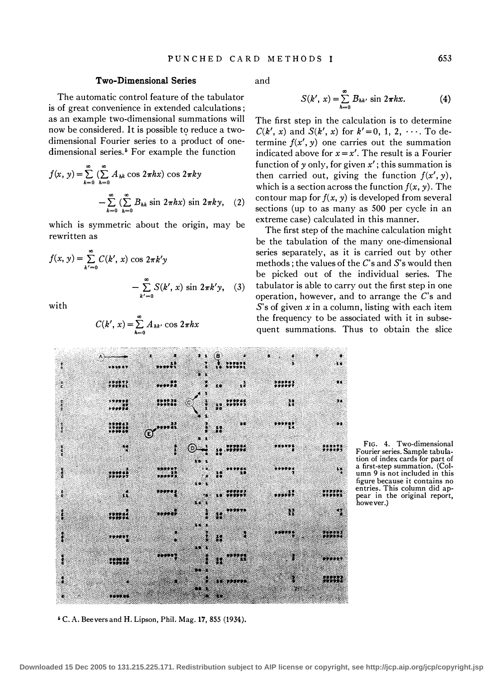### Two-Dimensional Series

The automatic control feature of the tabulator is of great convenience in extended calculations; as an example two-dimensional summations will now be considered. It is possible to reduce a twodimensional Fourier series to a product of onedimensional series.<sup>5</sup> For example the function

$$
f(x, y) = \sum_{k=0}^{\infty} \sum_{h=0}^{\infty} A_{hk} \cos 2\pi hx) \cos 2\pi ky
$$

$$
- \sum_{k=0}^{\infty} \sum_{h=0}^{\infty} B_{hk} \sin 2\pi hx) \sin 2\pi ky, \quad (2)
$$

which is symmetric about the origin, may be rewritten as

$$
f(x, y) = \sum_{k'=0}^{\infty} C(k', x) \cos 2\pi k' y
$$
  
-
$$
\sum_{k'=0}^{\infty} S(k', x) \sin 2\pi k' y, \quad (3)
$$

with

ł,

ċ

$$
C(k', x) = \sum_{h=0}^{\infty} A_{hk'} \cos 2\pi hx
$$

,,,,,,

and

$$
S(k', x) = \sum_{h=0}^{\infty} B_{hk'} \sin 2\pi hx.
$$
 (4)

The first step in the calculation is to determine  $C(k', x)$  and  $S(k', x)$  for  $k' = 0, 1, 2, \cdots$ . To determine  $f(x', y)$  one carries out the summation indicated above for  $x=x'$ . The result is a Fourier function of y only, for given  $x'$ ; this summation is then carried out, giving the function  $f(x', y)$ , which is a section across the function  $f(x, y)$ . The contour map for  $f(x, y)$  is developed from several sections (up to as many as 500 per cycle in an extreme case) calculated in this manner.

The first step of the machine calculation might be the tabulation of the many one-dimensional series separately, as it is carried out by other methods; the values of the  $C$ 's and  $S$ 's would then be picked out of the individual series. The tabulator is able to carry out the first step in one operation, however, and to arrange the  $C$ 's and  $S$ 's of given  $x$  in a column, listing with each item the frequency to be associated with it in subsequent summations. Thus to obtain the slice

r.

С.

 $\frac{1}{2}$ 59 e e e ,,,,,,,<br>,,,,,,  $\widehat{\epsilon}$  $\frac{1}{6}$ (b  $.........$ 222.22 ,,,,,,  $\mathbf{H}$ 23.A ł 322233  $-4.4.4.4$ 

će.

j,

,,,,,,<br>,,,,,

FIG. 4. Two-dimensional Fourier series. Sample tabulation of index cards for part of a first-step summation. (Column 9 is not included in this figure because it contains no entries. This column did appear in the original report, however.)

• C. A. Beevers and H. Lipson, Phil. Mag. 17, 855 (1934).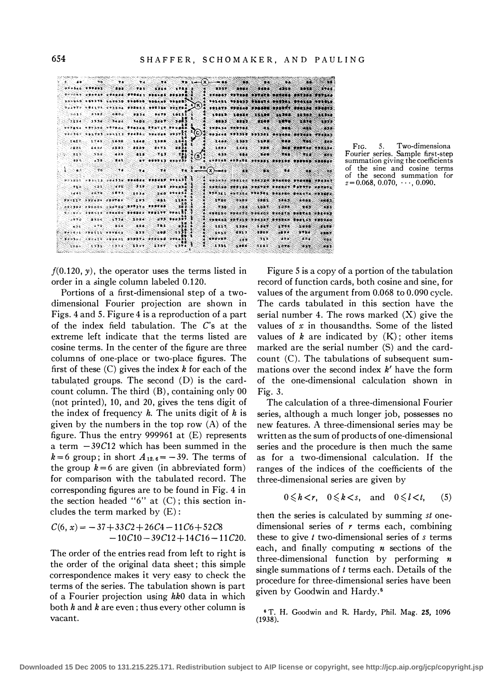| 48           | 70                   | 78     | T.K                            | 76                                               |                | $Yb - 1 = -1X$                                          |                     |                   |                                            | 24 A                                | 77 Y                            | ж                        |
|--------------|----------------------|--------|--------------------------------|--------------------------------------------------|----------------|---------------------------------------------------------|---------------------|-------------------|--------------------------------------------|-------------------------------------|---------------------------------|--------------------------|
| $99 - 545$   | 999892               | 1.14   | 7.8.30                         | 2.224                                            | 2012年第14日 2012 |                                                         | 31.25.25            |                   |                                            | 49.930.                             | 5 5 5 5 5                       | - - - -                  |
|              |                      |        | SHOURT UNROAD UPANIA PPOAKT OF |                                                  |                |                                                         |                     |                   |                                            |                                     |                                 |                          |
|              |                      |        |                                | <b>222960 489378 989630 998030 990449 998987</b> |                |                                                         |                     |                   |                                            |                                     |                                 |                          |
|              |                      |        |                                | グリィナグン クダイエグラ ジッコラウム・サタミラジェ のタギスあお アタナオホル        |                |                                                         |                     |                   | TOLETO FOOLAR POLSON RESERT BORING IDORTS  |                                     |                                 |                          |
| 3033         | A 39.2               | 0.804  | 2234                           |                                                  | 9679 10111     |                                                         |                     |                   | 19513 19534 11196                          |                                     | 11368 11383                     | 5 A 6 A 7 A              |
|              | $3124 - 1534 - 3426$ |        |                                | 3405 3287 3883                                   |                |                                                         |                     |                   | $1433$ $1523$ $1245$                       | <b>SECTION</b>                      | <b><i>SALES OF BUILDING</i></b> | <b><i>CONTRACTOR</i></b> |
|              |                      |        |                                | $997854$ 997596 997962 998340 998717 999888      |                |                                                         |                     | 999436 999785     | $\mathcal{L}(\mathbf{X})$                  | $-242 -$                            | <b>SALE</b>                     | $-0.5632$                |
|              |                      |        |                                | VOC362 095723 005113 904365 994088 993711        |                | رعه                                                     |                     |                   |                                            | <b>201361 003468 893652</b>         |                                 | 774583                   |
| 清理書 张江       | 生理基督会                | 1690   | $1440 -$                       | $1.5 - 0.7$                                      | 1542.          |                                                         | 145.00              |                   |                                            |                                     | 85 X 9 M                        | 1.44                     |
| 2225         | 24.59                | 2283   | $-2509$                        | 36.72                                            | 2235           |                                                         | $-1480$             | 1.401             | $-222 - 22$                                |                                     | <b>348 \$99540 998154</b>       |                          |
| $-22.5$      | 8.358                | $-489$ | $-0.12$                        | 711                                              |                | $\frac{1}{2}$ $\frac{1}{2}$ $\frac{1}{2}$ $\frac{1}{2}$ | 839                 | $-0.56$           | $-0.5 - 1$                                 |                                     | $-11.64$                        | $-0.64$                  |
| 595          | $-32$                | 261    |                                | $+7.999213$                                      | 9997392        |                                                         |                     |                   |                                            |                                     | 4.4.4.1.76                      |                          |
| ۰š.<br>ે 6 1 | 70                   | ेरे 8  | 7.4                            | 76                                               |                |                                                         | $78.1 - 90(7) - 80$ | $\bullet$         | S.                                         | 書店                                  | $\sim$                          | $-0.02$                  |
|              |                      |        |                                |                                                  |                |                                                         |                     |                   |                                            |                                     |                                 |                          |
|              |                      |        |                                | PT1231 PBS115 PRASSE REALES REEZER PPS631 5      |                |                                                         |                     |                   | UNSUTE MORTER DOESER BURGED BURGER URESAT  |                                     |                                 |                          |
| 718          | $-3621$              |        | $-1491 - 319$                  |                                                  | 105.999836     |                                                         |                     |                   |                                            |                                     |                                 |                          |
| 3.441        | 46.78                | 1875   | 1036                           |                                                  | 160.999854     |                                                         |                     |                   | 学生及学生了,不知了学生的,学生的学者的,学生学术课作,学生的生育的,学生学生学的。 |                                     |                                 |                          |
|              | 999117 399429 399789 |        | $-193$                         | 682.                                             | 1188           |                                                         | 17.56               | 9999              | 容易整備 (1)                                   | 3.443.                              | $-4666.$                        |                          |
|              |                      |        |                                | 997394 998006 998756 899378 999988               | -88            |                                                         | 7.34                | 9.54              | <b>LDBY</b>                                | 1450                                | 46.5.                           | $4.5 - 7.$               |
|              |                      |        |                                | 9. 1883 998519 998404 998883 998177 998131       |                |                                                         | 中华数字 医海             |                   | *********************************          |                                     |                                 |                          |
| 2770         | 9106                 |        | 1054                           | المتحاول                                         | 213.999327     |                                                         | 4.9.94.4.2.         | <b>CONTRACTOR</b> |                                            | <b>206347 895848 \$84143 435060</b> |                                 |                          |
| $-01$        | 4.72                 | 354.   | 656                            | 781                                              | 100.000        |                                                         | 1417                | $-1.5 + 4.$       | $-1.144$                                   | $-20.99 - 0.00$                     | $2.4 + 2.5$                     | 使える場合                    |
|              | 990601 090111 999662 |        | 253                            | $-0.02$                                          | $1335 - 4$     |                                                         | 101.5               | $-2833$           | 2209                                       | $-2894$                             | 3754                            | を実施す                     |
| * \$39382    |                      |        |                                | 199414 199411 999574 992090 999631               |                |                                                         | $0.099997$          | $-2.4 +$          | 513                                        | $-17.8$                             | 4.84                            | $-4.58$                  |
| $1.3.6 -$    | 1131                 |        | $1374 - 1397 - 1397$           |                                                  | 1374           |                                                         | $-1331$             | 1.866             | 1161                                       | 1076                                | $-227$                          | 12.2                     |

5. Two-dimensiona F<sub>IG</sub>. Fourier series. Sample first-step summation giving the coefficients of the sine and cosine terms<br>of the second summation for  $z=0.068, 0.070, \cdots, 0.090$ .

 $f(0.120, y)$ , the operator uses the terms listed in order in a single column labeled 0.120.

Portions of a first-dimensional step of a twodimensional Fourier projection are shown in Figs. 4 and 5. Figure 4 is a reproduction of a part of the index field tabulation. The  $C$ 's at the extreme left indicate that the terms listed are cosine terms. In the center of the figure are three columns of one-place or two-place figures. The first of these  $(C)$  gives the index  $k$  for each of the tabulated groups. The second  $(D)$  is the cardcount column. The third  $(B)$ , containing only 00 (not printed), 10, and 20, gives the tens digit of the index of frequency  $h$ . The units digit of  $h$  is given by the numbers in the top row  $(A)$  of the figure. Thus the entry 999961 at  $(E)$  represents a term  $-39C12$  which has been summed in the  $k=6$  group; in short  $A_{12,6} = -39$ . The terms of the group  $k=6$  are given (in abbreviated form) for comparison with the tabulated record. The corresponding figures are to be found in Fig. 4 in the section headed "6" at  $(C)$ ; this section includes the term marked by (E):

$$
C(6, x) = -37 + 33C2 + 26C4 - 11C6 + 52C8
$$
  
- 10C10 - 39C12 + 14C16 - 11C20.

The order of the entries read from left to right is the order of the original data sheet; this simple correspondence makes it very easy to check the terms of the series. The tabulation shown is part of a Fourier projection using hk0 data in which both  $h$  and  $k$  are even; thus every other column is vacant.

Figure 5 is a copy of a portion of the tabulation record of function cards, both cosine and sine, for values of the argument from 0.068 to 0.090 cycle. The cards tabulated in this section have the serial number 4. The rows marked  $(X)$  give the values of  $x$  in thousandths. Some of the listed values of  $k$  are indicated by  $(K)$ ; other items marked are the serial number (S) and the cardcount  $(C)$ . The tabulations of subsequent summations over the second index  $k'$  have the form of the one-dimensional calculation shown in Fig. 3.

The calculation of a three-dimensional Fourier series, although a much longer job, possesses no new features. A three-dimensional series may be written as the sum of products of one-dimensional series and the procedure is then much the same as for a two-dimensional calculation. If the ranges of the indices of the coefficients of the three-dimensional series are given by

$$
0 \leq h < r, \quad 0 \leq k < s, \quad \text{and} \quad 0 \leq l < t, \tag{5}
$$

then the series is calculated by summing st onedimensional series of  $r$  terms each, combining these to give  $t$  two-dimensional series of  $s$  terms each, and finally computing  $n$  sections of the three-dimensional function by performing  $n$ single summations of  $t$  terms each. Details of the procedure for three-dimensional series have been given by Goodwin and Hardy.<sup>6</sup>

<sup>6</sup> T. H. Goodwin and R. Hardy, Phil. Mag. 25, 1096  $(1938).$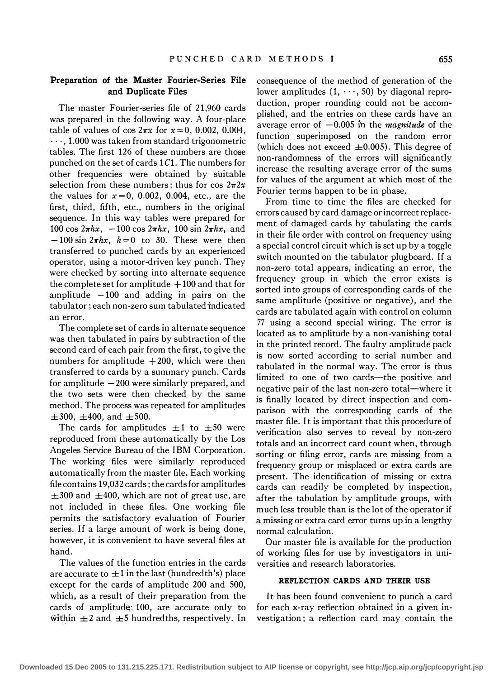## Preparation of the Master Fourier-Series File and Duplicate Files

The master Fourier-series file of 21,960 cards was prepared in the following way. A four-place table of values of  $\cos 2\pi x$  for  $x = 0, 0.002, 0.004$ ,  $\cdots$ , 1.000 was taken from standard trigonometric tables. The first 126 of these numbers are those punched on the set of cards  $1C1$ . The numbers for other frequencies were obtained by suitable selection from these numbers; thus for cos  $2\pi 2x$ the values for  $x=0$ , 0.002, 0.004, etc., are the first, third, fifth, etc., numbers in the original sequence. In this way tables were prepared for 100 cos  $2\pi hx$ ,  $-100 \cos 2\pi hx$ , 100 sin  $2\pi hx$ , and  $-100 \sin 2\pi hx$ ,  $h = 0$  to 30. These were then transferred to punched cards by an experienced operator, using a motor-driven key punch. They were checked by sorting into alternate sequence the complete set for amplitude  $+100$  and that for amplitude  $-100$  and adding in pairs on the tabulator; each non-zero sum tabulated indicated an error.

The complete set of cards in alternate sequence was then tabulated in pairs by subtraction of the second card of each pair from the first, to give the numbers for amplitude  $+200$ , which were then transferred to cards by a summary punch. Cards for amplitude  $-200$  were similarly prepared, and the two sets were then checked by the same method. The process was repeated for amplitudes  $\pm 300, \pm 400, \text{ and } \pm 500.$ 

The cards for amplitudes  $\pm 1$  to  $\pm 50$  were reproduced from these automatically by the Los Angeles Service Bureau of the IBM Corporation. The working files were similarly reproduced automatically from the master file. Each working file contains 19,032 cards; the cards for amplitudes  $\pm 300$  and  $\pm 400$ , which are not of great use, are not included in these files. One working file permits the satisfactory evaluation of Fourier series. If a large amount of work is being done, however, it is convenient to have several files at hand.

The values of the function entries in the cards are accurate to  $\pm 1$  in the last (hundredth's) place except for the cards of amplitude 200 and 500, which, as a result of their preparation from the cards of amplitude 100, are accurate only to within  $\pm 2$  and  $\pm 5$  hundredths, respectively. In consequence of the method of generation of the lower amplitudes  $(1, \dots, 50)$  by diagonal reproduction, proper rounding could not be accomplished, and the entries on these cards have an average error of  $-0.005$  in the *magnitude* of the function superimposed on the random error (which does not exceed  $\pm 0.005$ ). This degree of non-randomness of the errors will significantly increase the resulting average error of the sums for values of the argument at which most of the Fourier terms happen to be in phase.

From time to time the files are checked for errors caused by card damage or incorrect replacement of damaged cards by tabulating the cards in their file order with control on frequency using a special control circuit which is set up by a toggle switch mounted on the tabulator plugboard. If a non-zero total appears, indicating an error, the frequency group in which the error exists is sorted into groups of corresponding cards of the same amplitude (positive or negative), and the cards are tabulated again with control on column 77 using a second special wiring. The error is located as to amplitude by a non-vanishing total in the printed record. The faulty amplitude pack is now sorted according to serial number and tabulated in the normal way. The error is thus limited to one of two cards—the positive and negative pair of the last non-zero total—where it is finally located by direct inspection and comparison with the corresponding cards of the master file. It is important that this procedure of verification also serves to reveal by non-zero totals and an incorrect card count when, through sorting or filing error, cards are missing from a frequency group or misplaced or extra cards are present. The identification of missing or extra cards can readily be completed by inspection, after the tabulation by amplitude groups, with much less trouble than is the lot of the operator if a missing or extra card error turns up in a lengthy normal calculation.

Our master file is available for the production of working files for use by investigators in universities and research laboratories.

### REFLECTION CARDS AND THEIR USE

It has been found convenient to punch a card for each x-ray reflection obtained in a given investigation; a reflection card may contain the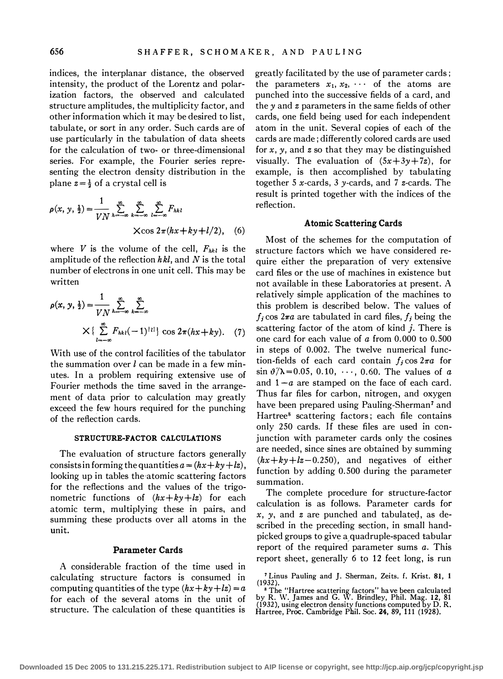indices, the interplanar distance, the observed intensity, the product of the Lorentz and polarization factors, the observed and calculated structure amplitudes, the multiplicity factor, and other information which it may be desired to list, tabulate, or sort in any order. Such cards are of use particularly in the tabulation of data sheets for the calculation of two- or three-dimensional series. For example, the Fourier series representing the electron density distribution in the plane  $z = \frac{1}{2}$  of a crystal cell is

$$
\rho(x, y, \frac{1}{2}) = \frac{1}{VN} \sum_{h=-\infty}^{\infty} \sum_{k=-\infty}^{\infty} \sum_{l=-\infty}^{\infty} F_{hkl}
$$
  
 
$$
\times \cos 2\pi (hx + ky + l/2), \quad (6)
$$

where V is the volume of the cell,  $F_{hk}$  is the amplitude of the reflection  $hkl$ , and N is the total number of electrons in one unit cell. This may be written

$$
\rho(x, y, \frac{1}{2}) = \frac{1}{VN} \sum_{h=-\infty}^{\infty} \sum_{k=-\infty}^{\infty} \times \left\{ \sum_{l=-\infty}^{\infty} F_{hk_l}(-1)^{|l|} \right\} \cos 2\pi (hx + ky). \quad (7)
$$

With use of the control facilities of the tabulator the summation over  $l$  can be made in a few minutes. In a problem requiring extensive use of Fourier methods the time saved in the arrangement of data prior to calculation may greatly exceed the few hours required for the punching of the reflection cards.

### STRUCTURE-FACTOR CALCULATIONS

The evaluation of structure factors generally consists in forming the quantities  $a = (hx + ky + kz)$ , looking up in tables the atomic scattering factors for the reflections and the values of the trigonometric functions of  $(hx+ky+lz)$  for each atomic term, multiplying these in pairs, and summing these products over all atoms in the unit.

#### Parameter Cards

A considerable fraction of the time used in calculating structure factors is consumed in computing quantities of the type  $(hx+ky+lz) = a$ for each of the several atoms in the unit of structure. The calculation of these quantities is greatly facilitated by the use of parameter cards ; the parameters  $x_1, x_2, \cdots$  of the atoms are punched into the successive fields of a card, and the y and z parameters in the same fields of other cards, one field being used for each independent atom in the unit. Several copies of each of the cards are made; differently colored cards are used for  $x$ ,  $y$ , and  $z$  so that they may be distinguished visually. The evaluation of  $(5x+3y+7z)$ , for example, is then accomplished by tabulating together 5 x-cards, 3 y-cards, and 7 z-cards. The result is printed together with the indices of the reflection.

### Atomic Scattering Cards

Most of the schemes for the computation of structure factors which we have considered require either the preparation of very extensive card files or the use of machines in existence but not available in these Laboratories at present. A relatively simple application of the machines to this problem is described below. The values of  $f_i$  cos  $2\pi a$  are tabulated in card files,  $f_i$  being the scattering factor of the atom of kind  $j$ . There is one card for each value of a from 0.000 to 0.500 in steps of 0.002. The twelve numerical function-fields of each card contain  $f_j \cos 2\pi a$  for  $\sin \theta/\lambda = 0.05, 0.10, \cdots, 0.60$ . The values of a and  $1 - a$  are stamped on the face of each card. Thus far files for carbon, nitrogen, and oxygen have been prepared using Pauling-Sherman<sup>7</sup> and Hartree<sup>8</sup> scattering factors; each file contains only 250 cards. If these files are used in conjunction with parameter cards only the cosines are needed, since sines are obtained by summing  $(hx+ky+lz-0.250)$ , and negatives of either function by adding 0.500 during the parameter summation.

The complete procedure for structure-factor calculation is as follows. Parameter cards for  $x, y$ , and  $z$  are punched and tabulated, as described in the preceding section, in small handpicked groups to give a quadruple-spaced tabular report of the required parameter sums a. This report sheet, generally 6 to 12 feet long, is run

<sup>7</sup>Linus Pauling and J. Sherman, Zeits. f. Krist. 81, 1

<sup>(1932).&</sup>lt;br>
<sup>8</sup> The "Hartree scattering factors" have been calculated<br>
by R. W. James and G. W. Brindley, Phil. Mag. 12, 81<br>
(1932), using electron density functions computed by D. R.<br>
Hartree, Proc. Cambridge Phil. Soc. **24**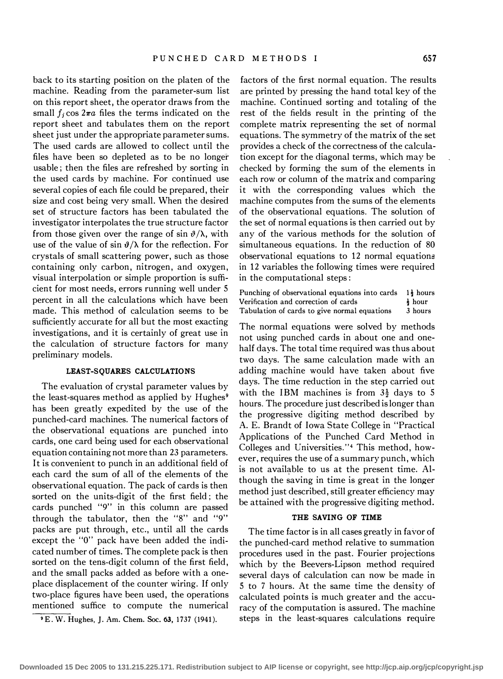back to its starting position on the platen of the machine. Reading from the parameter-sum list on this report sheet, the operator draws from the small  $f_i$  cos  $2\pi a$  files the terms indicated on the report sheet and tabulates them on the report sheet just under the appropriate parameter sums. The used cards are allowed to collect until the files have been so depleted as to be no longer usable; then the files are refreshed by sorting in the used cards by machine. For continued use several copies of each file could be prepared, their size and cost being very small. When the desired set of structure factors has been tabulated the investigator interpolates the true structure factor from those given over the range of  $\sin \vartheta/\lambda$ , with use of the value of  $\sin \theta/\lambda$  for the reflection. For crystals of small scattering power, such as those containing only carbon, nitrogen, and oxygen, visual interpolation or simple proportion is sufficient for most needs, errors running well under 5 percent in all the calculations which have been made. This method of calculation seems to be sufficiently accurate for all but the most exacting investigations, and it is certainly of great use in the calculation of structure factors for many preliminary models.

### LEAST-SQUARES CALCULATIONS

The evaluation of crystal parameter values by the least-squares method as applied by Hughes $9$ has been greatly expedited by the use of the punched-card machines. The numerical factors of the observational equations are punched into cards, one card being used for each observational equation containing not more than 23 parameters. It is convenient to punch in an additional field of each card the sum of all of the elements of the observational equation. The pack of cards is then sorted on the units-digit of the first field; the cards punched "9" in this column are passed through the tabulator, then the "8" and "9" packs are put through, etc., until all the cards except the "0" pack have been added the indicated number of times. The complete pack is then sorted on the tens-digit column of the first field, and the small packs added as before with a oneplace displacement of the counter wiring. If only two-place figures have been used, the operations mentioned suffice to compute the numerical

<sup>9</sup> E. W. Hughes, J. Am. Chem. Soc. 63, 1737 (1941).

factors of the first normal equation. The results are printed by pressing the hand total key of the machine. Continued sorting and totaling of the rest of the fields result in the printing of the complete matrix representing the set of normal equations. The symmetry of the matrix of the set provides a check of the correctness of the calculation except for the diagonal terms, which may be checked by forming the sum of the elements in each row or column of the matrix and comparing it with the corresponding values which the machine computes from the sums of the elements of the observational equations. The solution of the set of normal equations is then carried out by any of the various methods for the solution of simultaneous equations. In the reduction of 80 observational equations to 12 normal equations in 12 variables the following times were required in the computational steps:

Punching of observational equations into cards Verification and correction of cards Tabulation of cards to give normal equations  $1\frac{1}{2}$  hours  $\frac{1}{2}$  hour 3 hours

The normal equations were solved by methods not using punched cards in about one and onehalf days. The total time required was thus about two days. The same calculation made with an adding machine would have taken about five days. The time reduction in the step carried out with the IBM machines is from  $3\frac{1}{2}$  days to 5 hours. The procedure just described is longer than the progressive digiting method described by A. E. Brandt of Iowa State College in "Practical Applications of the Punched Card Method in Colleges and Universities."4 This method, however, requires the use of a summary punch, which is not available to us at the present time. Although the saving in time is great in the longer method just described, still greater efficiency may be attained with the progressive digiting method.

# THE SAVING OF TIME

The time factor is in all cases greatly in favor of the punched-card method relative to summation procedures used in the past. Fourier projections which by the Beevers-Lipson method required several days of calculation can now be made in 5 to 7 hours. At the same time the density of calculated points is much greater and the accuracy of the computation is assured. The machine steps in the least-squares calculations require